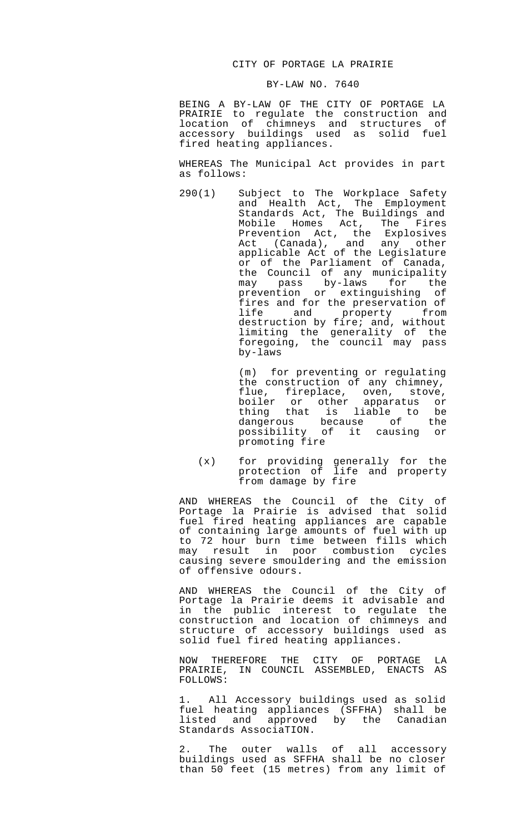## CITY OF PORTAGE LA PRAIRIE

## BY-LAW NO. 7640

BEING A BY-LAW OF THE CITY OF PORTAGE LA PRAIRIE to regulate the construction and location of chimneys and structures of accessory buildings used as solid fuel fired heating appliances.

WHEREAS The Municipal Act provides in part as follows:

290(1) Subject to The Workplace Safety and Health Act, The Employment Standards Act, The Buildings and Mobile Homes Act, The Fires Prevention Act, the Explosives Act (Canada), and any other applicable Act of the Legislature or of the Parliament of Canada, the Council of any municipality may pass by-laws for the prevention or extinguishing of fires and for the preservation of life and property from destruction by fire; and, without limiting the generality of the foregoing, the council may pass by-laws

> (m) for preventing or regulating the construction of any chimney, flue, fireplace, oven, stove, boiler or other apparatus or thing that is liable to be dangerous because of the possibility of it causing or promoting fire

 (x) for providing generally for the protection of life and property from damage by fire

AND WHEREAS the Council of the City of Portage la Prairie is advised that solid fuel fired heating appliances are capable of containing large amounts of fuel with up to 72 hour burn time between fills which may result in poor combustion cycles causing severe smouldering and the emission of offensive odours.

AND WHEREAS the Council of the City of Portage la Prairie deems it advisable and in the public interest to regulate the construction and location of chimneys and structure of accessory buildings used as solid fuel fired heating appliances.

NOW THEREFORE THE CITY OF PORTAGE LA PRAIRIE, IN COUNCIL ASSEMBLED, ENACTS AS FOLLOWS:

1. All Accessory buildings used as solid fuel heating appliances (SFFHA) shall be listed and approved by the Canadian Standards AssociaTION.

2. The outer walls of all accessory buildings used as SFFHA shall be no closer than 50 feet (15 metres) from any limit of